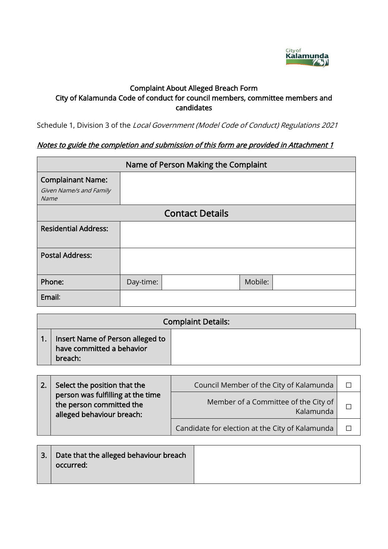

# Complaint About Alleged Breach Form City of Kalamunda Code of conduct for council members, committee members and candidates

Schedule 1, Division 3 of the Local Government (Model Code of Conduct) Regulations 2021

# Notes to guide the completion and submission of this form are provided in Attachment 1

|                                                             | Name of Person Making the Complaint |                        |         |  |  |
|-------------------------------------------------------------|-------------------------------------|------------------------|---------|--|--|
| <b>Complainant Name:</b><br>Given Name/s and Family<br>Name |                                     |                        |         |  |  |
|                                                             |                                     | <b>Contact Details</b> |         |  |  |
| <b>Residential Address:</b>                                 |                                     |                        |         |  |  |
| <b>Postal Address:</b>                                      |                                     |                        |         |  |  |
| Phone:                                                      | Day-time:                           |                        | Mobile: |  |  |
| Email:                                                      |                                     |                        |         |  |  |

| <b>Complaint Details:</b>                                                |  |  |  |
|--------------------------------------------------------------------------|--|--|--|
| Insert Name of Person alleged to<br>have committed a behavior<br>breach: |  |  |  |

| Select the position that the                                                               | Council Member of the City of Kalamunda           |  |
|--------------------------------------------------------------------------------------------|---------------------------------------------------|--|
| person was fulfilling at the time<br>the person committed the<br>alleged behaviour breach: | Member of a Committee of the City of<br>Kalamunda |  |
|                                                                                            | Candidate for election at the City of Kalamunda   |  |

| 3. Date that the alleged behaviour breach<br>occurred: |  |
|--------------------------------------------------------|--|
|                                                        |  |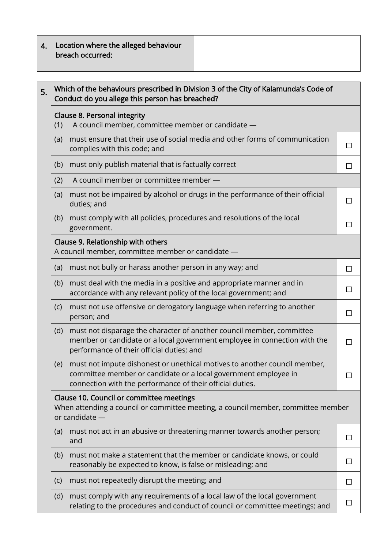| 4.   Location where the alleged behaviour |
|-------------------------------------------|
| $ $ breach occurred:                      |

| 5. | Which of the behaviours prescribed in Division 3 of the City of Kalamunda's Code of<br>Conduct do you allege this person has breached?          |                                                                                                                                                                                                           |        |  |
|----|-------------------------------------------------------------------------------------------------------------------------------------------------|-----------------------------------------------------------------------------------------------------------------------------------------------------------------------------------------------------------|--------|--|
|    | <b>Clause 8. Personal integrity</b><br>A council member, committee member or candidate -<br>(1)                                                 |                                                                                                                                                                                                           |        |  |
|    | (a)                                                                                                                                             | must ensure that their use of social media and other forms of communication<br>complies with this code; and                                                                                               | □      |  |
|    | (b)                                                                                                                                             | must only publish material that is factually correct                                                                                                                                                      | П      |  |
|    | (2)                                                                                                                                             | A council member or committee member -                                                                                                                                                                    |        |  |
|    | (a)                                                                                                                                             | must not be impaired by alcohol or drugs in the performance of their official<br>duties; and                                                                                                              | П      |  |
|    | (b)                                                                                                                                             | must comply with all policies, procedures and resolutions of the local<br>government.                                                                                                                     | П      |  |
|    |                                                                                                                                                 | Clause 9. Relationship with others<br>A council member, committee member or candidate -                                                                                                                   |        |  |
|    | (a)                                                                                                                                             | must not bully or harass another person in any way; and                                                                                                                                                   | П      |  |
|    | (b)                                                                                                                                             | must deal with the media in a positive and appropriate manner and in<br>accordance with any relevant policy of the local government; and                                                                  | $\Box$ |  |
|    | (c)                                                                                                                                             | must not use offensive or derogatory language when referring to another<br>person; and                                                                                                                    | $\Box$ |  |
|    | (d)                                                                                                                                             | must not disparage the character of another council member, committee<br>member or candidate or a local government employee in connection with the<br>performance of their official duties; and           | $\Box$ |  |
|    | (e)                                                                                                                                             | must not impute dishonest or unethical motives to another council member,<br>committee member or candidate or a local government employee in<br>connection with the performance of their official duties. |        |  |
|    | Clause 10. Council or committee meetings<br>When attending a council or committee meeting, a council member, committee member<br>or candidate - |                                                                                                                                                                                                           |        |  |
|    | (a)                                                                                                                                             | must not act in an abusive or threatening manner towards another person;<br>and                                                                                                                           | П      |  |
|    | (b)                                                                                                                                             | must not make a statement that the member or candidate knows, or could<br>reasonably be expected to know, is false or misleading; and                                                                     | П      |  |
|    | (c)                                                                                                                                             | must not repeatedly disrupt the meeting; and                                                                                                                                                              | $\Box$ |  |
|    | (d)                                                                                                                                             | must comply with any requirements of a local law of the local government<br>relating to the procedures and conduct of council or committee meetings; and                                                  |        |  |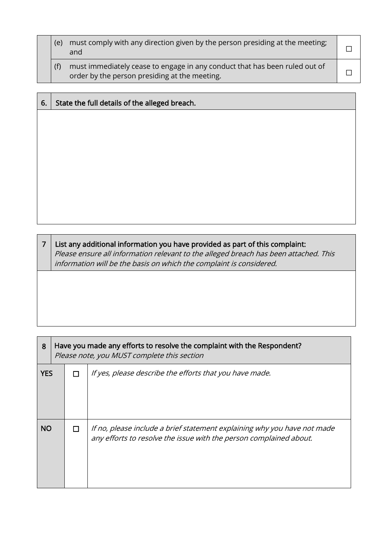| (e) | must comply with any direction given by the person presiding at the meeting;<br>and                                         |  |
|-----|-----------------------------------------------------------------------------------------------------------------------------|--|
| (f) | must immediately cease to engage in any conduct that has been ruled out of<br>order by the person presiding at the meeting. |  |

| 6. | State the full details of the alleged breach. |
|----|-----------------------------------------------|
|    |                                               |
|    |                                               |
|    |                                               |
|    |                                               |
|    |                                               |
|    |                                               |
|    |                                               |
|    |                                               |

 $7 \mid$  List any additional information you have provided as part of this complaint: Please ensure all information relevant to the alleged breach has been attached. This information will be the basis on which the complaint is considered.

| 8          |   | Have you made any efforts to resolve the complaint with the Respondent?<br>Please note, you MUST complete this section                         |  |
|------------|---|------------------------------------------------------------------------------------------------------------------------------------------------|--|
| <b>YES</b> | П | If yes, please describe the efforts that you have made.                                                                                        |  |
| <b>NO</b>  |   | If no, please include a brief statement explaining why you have not made<br>any efforts to resolve the issue with the person complained about. |  |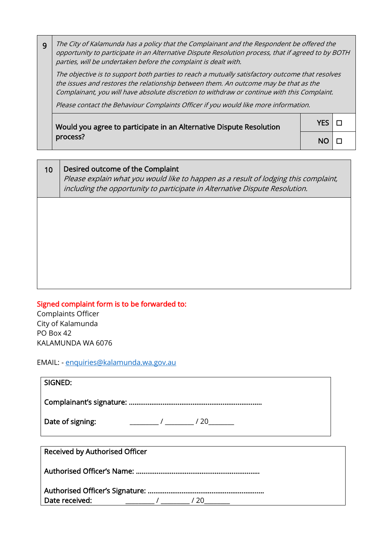9 The City of Kalamunda has a policy that the Complainant and the Respondent be offered the opportunity to participate in an Alternative Dispute Resolution process, that if agreed to by BOTH parties, will be undertaken before the complaint is dealt with.

The objective is to support both parties to reach a mutually satisfactory outcome that resolves the issues and restores the relationship between them. An outcome may be that as the Complainant, you will have absolute discretion to withdraw or continue with this Complaint.

Please contact the Behaviour Complaints Officer if you would like more information.

Would you agree to participate in an Alternative Dispute Resolution process?

 $YES | \Box$  $NO$   $\Box$ 

| 10 | Desired outcome of the Complaint<br>Please explain what you would like to happen as a result of lodging this complaint,<br>including the opportunity to participate in Alternative Dispute Resolution. |
|----|--------------------------------------------------------------------------------------------------------------------------------------------------------------------------------------------------------|
|    |                                                                                                                                                                                                        |
|    |                                                                                                                                                                                                        |
|    |                                                                                                                                                                                                        |

Signed complaint form is to be forwarded to:

Complaints Officer City of Kalamunda PO Box 42 KALAMUNDA WA 6076

EMAIL: - [enquiries@kalamunda.wa.gov.au](mailto:enquiries@kalamunda.wa.gov.au)

| SIGNED:                                 |  |  |  |  |
|-----------------------------------------|--|--|--|--|
|                                         |  |  |  |  |
| Date of signing:<br>$\frac{1}{20}$ / 20 |  |  |  |  |
|                                         |  |  |  |  |
| Received by Authorised Officer          |  |  |  |  |
|                                         |  |  |  |  |
|                                         |  |  |  |  |
| Date received:<br>/20                   |  |  |  |  |